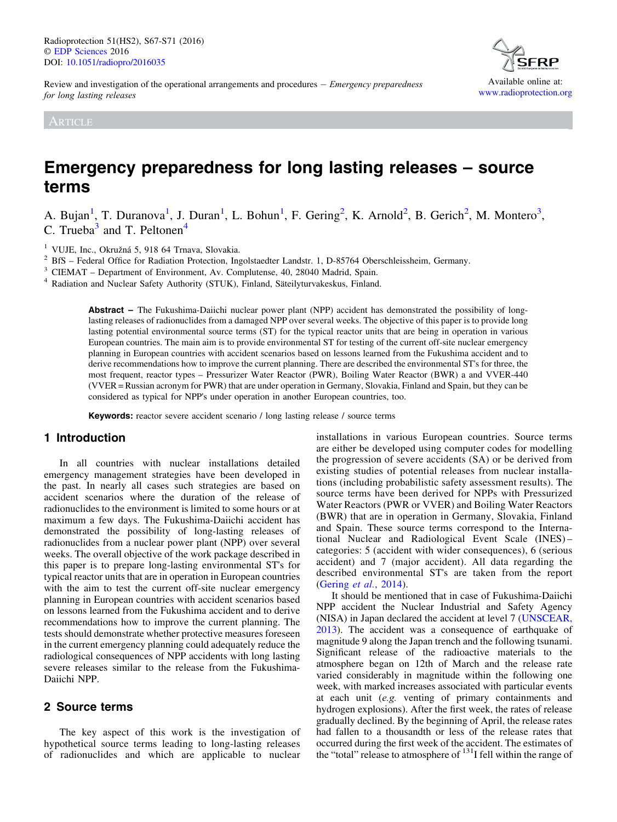Available online at: [www.radioprotection.org](http://www.radioprotection.org)

Review and investigation of the operational arrangements and procedures  $-$  *Emergency preparedness* for long lasting releases

ARTICLE

# Emergency preparedness for long lasting releases – source terms

A. Bujan<sup>1</sup>, T. Duranova<sup>1</sup>, J. Duran<sup>1</sup>, L. Bohun<sup>1</sup>, F. Gering<sup>2</sup>, K. Arnold<sup>2</sup>, B. Gerich<sup>2</sup>, M. Montero<sup>3</sup>, C. Trueba $3$  and T. Peltonen<sup>4</sup>

<sup>1</sup> VUJE, Inc., Okružná 5, 918 64 Trnava, Slovakia.<br>
<sup>2</sup> BfS – Federal Office for Radiation Protection, Ingolstaedter Landstr. 1, D-85764 Oberschleissheim, Germany.<br>
<sup>3</sup> CIEMAT – Department of Environment, Av. Complutense,

Abstract – The Fukushima-Daiichi nuclear power plant (NPP) accident has demonstrated the possibility of longlasting releases of radionuclides from a damaged NPP over several weeks. The objective of this paper is to provide long lasting potential environmental source terms (ST) for the typical reactor units that are being in operation in various European countries. The main aim is to provide environmental ST for testing of the current off-site nuclear emergency planning in European countries with accident scenarios based on lessons learned from the Fukushima accident and to derive recommendations how to improve the current planning. There are described the environmental ST's for three, the most frequent, reactor types – Pressurizer Water Reactor (PWR), Boiling Water Reactor (BWR) a and VVER-440 (VVER = Russian acronym for PWR) that are under operation in Germany, Slovakia, Finland and Spain, but they can be considered as typical for NPP's under operation in another European countries, too.

Keywords: reactor severe accident scenario / long lasting release / source terms

# 1 Introduction

In all countries with nuclear installations detailed emergency management strategies have been developed in the past. In nearly all cases such strategies are based on accident scenarios where the duration of the release of radionuclides to the environment is limited to some hours or at maximum a few days. The Fukushima-Daiichi accident has demonstrated the possibility of long-lasting releases of radionuclides from a nuclear power plant (NPP) over several weeks. The overall objective of the work package described in this paper is to prepare long-lasting environmental ST's for typical reactor units that are in operation in European countries with the aim to test the current off-site nuclear emergency planning in European countries with accident scenarios based on lessons learned from the Fukushima accident and to derive recommendations how to improve the current planning. The tests should demonstrate whether protective measures foreseen in the current emergency planning could adequately reduce the radiological consequences of NPP accidents with long lasting severe releases similar to the release from the Fukushima-Daiichi NPP.

# 2 Source terms

The key aspect of this work is the investigation of hypothetical source terms leading to long-lasting releases of radionuclides and which are applicable to nuclear installations in various European countries. Source terms are either be developed using computer codes for modelling the progression of severe accidents (SA) or be derived from existing studies of potential releases from nuclear installations (including probabilistic safety assessment results). The source terms have been derived for NPPs with Pressurized Water Reactors (PWR or VVER) and Boiling Water Reactors (BWR) that are in operation in Germany, Slovakia, Finland and Spain. These source terms correspond to the International Nuclear and Radiological Event Scale (INES) – categories: 5 (accident with wider consequences), 6 (serious accident) and 7 (major accident). All data regarding the described environmental ST's are taken from the report ([Gering](#page-3-0) et al., 2014).

It should be mentioned that in case of Fukushima-Daiichi NPP accident the Nuclear Industrial and Safety Agency (NISA) in Japan declared the accident at level 7 ([UNSCEAR,](#page-4-0) [2013](#page-4-0)). The accident was a consequence of earthquake of magnitude 9 along the Japan trench and the following tsunami. Significant release of the radioactive materials to the atmosphere began on 12th of March and the release rate varied considerably in magnitude within the following one week, with marked increases associated with particular events at each unit (e.g. venting of primary containments and hydrogen explosions). After the first week, the rates of release gradually declined. By the beginning of April, the release rates had fallen to a thousandth or less of the release rates that occurred during the first week of the accident. The estimates of the "total" release to atmosphere of  $^{131}$ I fell within the range of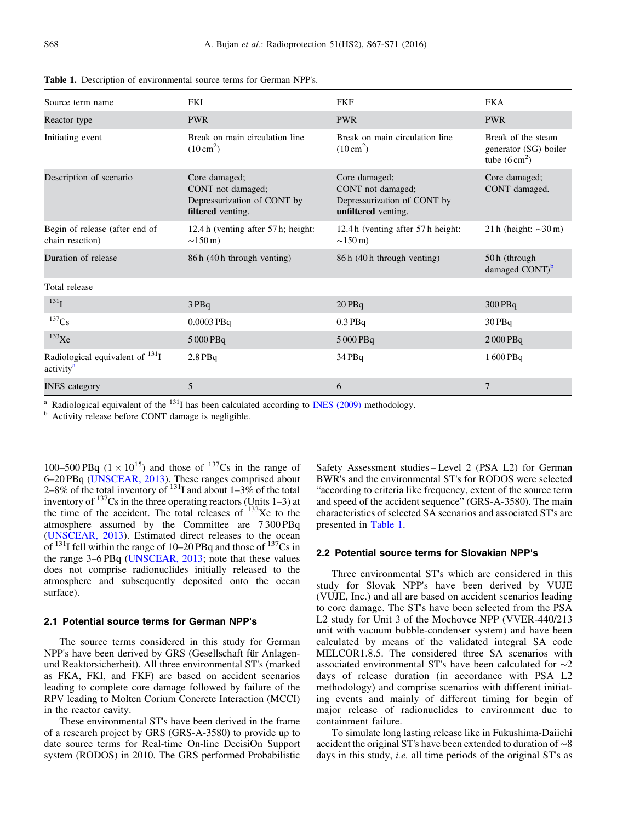| Source term name                                              | <b>FKI</b>                                                                             | <b>FKF</b>                                                                               | <b>FKA</b>                                                             |
|---------------------------------------------------------------|----------------------------------------------------------------------------------------|------------------------------------------------------------------------------------------|------------------------------------------------------------------------|
| Reactor type                                                  | <b>PWR</b>                                                                             | <b>PWR</b>                                                                               | <b>PWR</b>                                                             |
| Initiating event                                              | Break on main circulation line<br>$(10 \text{ cm}^2)$                                  | Break on main circulation line<br>$(10 \text{ cm}^2)$                                    | Break of the steam<br>generator (SG) boiler<br>tube $(6 \text{ cm}^2)$ |
| Description of scenario                                       | Core damaged;<br>CONT not damaged;<br>Depressurization of CONT by<br>filtered venting. | Core damaged;<br>CONT not damaged;<br>Depressurization of CONT by<br>unfiltered venting. | Core damaged;<br>CONT damaged.                                         |
| Begin of release (after end of<br>chain reaction)             | 12.4 h (venting after 57 h; height:<br>$\sim$ 150 m)                                   | 12.4 h (venting after 57 h height:<br>$\sim$ 150 m)                                      | 21 h (height: $\sim$ 30 m)                                             |
| Duration of release                                           | 86 h (40 h through venting)                                                            | 86 h (40 h through venting)                                                              | 50h (through<br>damaged CONT) <sup>b</sup>                             |
| Total release                                                 |                                                                                        |                                                                                          |                                                                        |
| $^{131}$ I                                                    | 3PBq                                                                                   | $20$ PBq                                                                                 | $300$ PBq                                                              |
| $^{137}\mathrm{Cs}$                                           | 0.0003 PBq                                                                             | $0.3$ PBq                                                                                | 30PBq                                                                  |
| $133$ Xe                                                      | 5 000 PBq                                                                              | 5 000 PBq                                                                                | $2000$ PBq                                                             |
| Radiological equivalent of $^{131}I$<br>activity <sup>a</sup> | $2.8$ PBq                                                                              | 34 PBq                                                                                   | 1600 PBq                                                               |
| <b>INES</b> category                                          | 5                                                                                      | 6                                                                                        | $\overline{7}$                                                         |

Table 1. Description of environmental source terms for German NPP's.

<sup>a</sup> Radiological equivalent of the  $^{131}$ I has been calculated according to [INES \(2009\)](#page-4-0) methodology. <sup>b</sup> Activity release before CONT damage is negligible.

100–500 PBq  $(1 \times 10^{15})$  and those of  $137$ Cs in the range of 6–20 PBq [\(UNSCEAR, 2013](#page-4-0)). These ranges comprised about 2–8% of the total inventory of  $^{131}$ I and about 1–3% of the total inventory of  $137$ Cs in the three operating reactors (Units 1–3) at the time of the accident. The total releases of  $133$ Xe to the atmosphere assumed by the Committee are 7 300 PBq ([UNSCEAR, 2013](#page-4-0)). Estimated direct releases to the ocean of <sup>131</sup>I fell within the range of 10–20 PBq and those of <sup>137</sup>Cs in the range 3–6 PBq ([UNSCEAR, 2013;](#page-4-0) note that these values does not comprise radionuclides initially released to the atmosphere and subsequently deposited onto the ocean surface).

#### 2.1 Potential source terms for German NPP's

The source terms considered in this study for German NPP's have been derived by GRS (Gesellschaft für Anlagenund Reaktorsicherheit). All three environmental ST's (marked as FKA, FKI, and FKF) are based on accident scenarios leading to complete core damage followed by failure of the RPV leading to Molten Corium Concrete Interaction (MCCI) in the reactor cavity.

These environmental ST's have been derived in the frame of a research project by GRS (GRS-A-3580) to provide up to date source terms for Real-time On-line DecisiOn Support system (RODOS) in 2010. The GRS performed Probabilistic

Safety Assessment studies – Level 2 (PSA L2) for German BWR's and the environmental ST's for RODOS were selected "according to criteria like frequency, extent of the source term and speed of the accident sequence" (GRS-A-3580). The main characteristics of selected SA scenarios and associated ST's are presented in Table 1.

#### 2.2 Potential source terms for Slovakian NPP's

Three environmental ST's which are considered in this study for Slovak NPP's have been derived by VUJE (VUJE, Inc.) and all are based on accident scenarios leading to core damage. The ST's have been selected from the PSA L2 study for Unit 3 of the Mochovce NPP (VVER-440/213 unit with vacuum bubble-condenser system) and have been calculated by means of the validated integral SA code MELCOR1.8.5. The considered three SA scenarios with associated environmental ST's have been calculated for ∼2 days of release duration (in accordance with PSA L2 methodology) and comprise scenarios with different initiating events and mainly of different timing for begin of major release of radionuclides to environment due to containment failure.

To simulate long lasting release like in Fukushima-Daiichi accident the original ST's have been extended to duration of ∼8 days in this study, *i.e.* all time periods of the original ST's as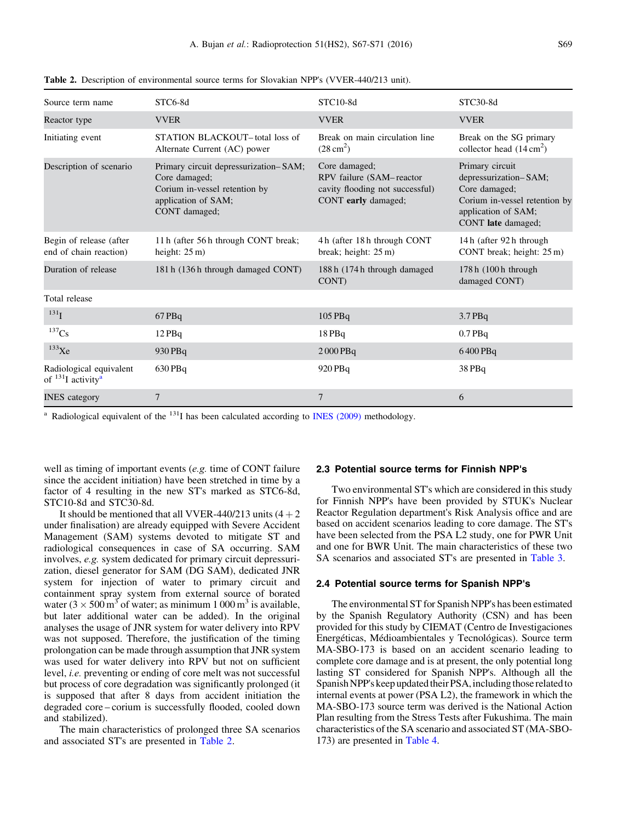| Source term name                                               | STC6-8d                                                                                                                         | STC10-8d                                                                                            | STC30-8d                                                                                                                                |
|----------------------------------------------------------------|---------------------------------------------------------------------------------------------------------------------------------|-----------------------------------------------------------------------------------------------------|-----------------------------------------------------------------------------------------------------------------------------------------|
| Reactor type                                                   | <b>VVER</b>                                                                                                                     | <b>VVER</b>                                                                                         | <b>VVER</b>                                                                                                                             |
| Initiating event                                               | STATION BLACKOUT-total loss of<br>Alternate Current (AC) power                                                                  | Break on main circulation line<br>$(28 \text{ cm}^2)$                                               | Break on the SG primary<br>collector head $(14 \text{ cm}^2)$                                                                           |
| Description of scenario                                        | Primary circuit depressurization-SAM;<br>Core damaged;<br>Corium in-vessel retention by<br>application of SAM;<br>CONT damaged; | Core damaged;<br>RPV failure (SAM-reactor<br>cavity flooding not successful)<br>CONT early damaged; | Primary circuit<br>depressurization-SAM;<br>Core damaged;<br>Corium in-vessel retention by<br>application of SAM;<br>CONT late damaged; |
| Begin of release (after<br>end of chain reaction)              | 11 h (after 56 h through CONT break;<br>height: $25 \text{ m}$ )                                                                | 4h (after 18h through CONT<br>break; height: $25 \text{ m}$ )                                       | 14 h (after 92 h through)<br>CONT break; height: $25 \text{ m}$ )                                                                       |
| Duration of release                                            | 181 h (136 h through damaged CONT)                                                                                              | 188 h (174 h through damaged<br>CONT)                                                               | 178 h (100 h through<br>damaged CONT)                                                                                                   |
| Total release                                                  |                                                                                                                                 |                                                                                                     |                                                                                                                                         |
| $^{131}$ <sub>I</sub>                                          | 67PBq                                                                                                                           | 105 PBq                                                                                             | $3.7$ PBq                                                                                                                               |
| $^{137}\mathrm{Cs}$                                            | $12$ PBq                                                                                                                        | 18PBq                                                                                               | $0.7$ PBq                                                                                                                               |
| $^{133}$ Xe                                                    | 930 PBq                                                                                                                         | $2000$ PBq                                                                                          | 6400 PBq                                                                                                                                |
| Radiological equivalent<br>of $^{131}$ I activity <sup>a</sup> | $630$ PBq                                                                                                                       | 920 PBq                                                                                             | 38 PBq                                                                                                                                  |
| <b>INES</b> category                                           | 7                                                                                                                               | 7                                                                                                   | 6                                                                                                                                       |

Table 2. Description of environmental source terms for Slovakian NPP's (VVER-440/213 unit).

<sup>a</sup> Radiological equivalent of the  $^{131}$ I has been calculated according to [INES \(2009\)](#page-4-0) methodology.

well as timing of important events (e.g. time of CONT failure since the accident initiation) have been stretched in time by a factor of 4 resulting in the new ST's marked as STC6-8d, STC10-8d and STC30-8d.

It should be mentioned that all VVER-440/213 units  $(4 + 2)$ under finalisation) are already equipped with Severe Accident Management (SAM) systems devoted to mitigate ST and radiological consequences in case of SA occurring. SAM involves, e.g. system dedicated for primary circuit depressurization, diesel generator for SAM (DG SAM), dedicated JNR system for injection of water to primary circuit and containment spray system from external source of borated water ( $3 \times 500 \text{ m}^3$  of water; as minimum 1 000 m<sup>3</sup> is available, but later additional water can be added). In the original analyses the usage of JNR system for water delivery into RPV was not supposed. Therefore, the justification of the timing prolongation can be made through assumption that JNR system was used for water delivery into RPV but not on sufficient level, i.e. preventing or ending of core melt was not successful but process of core degradation was significantly prolonged (it is supposed that after 8 days from accident initiation the degraded core – corium is successfully flooded, cooled down and stabilized).

The main characteristics of prolonged three SA scenarios and associated ST's are presented in Table 2.

#### 2.3 Potential source terms for Finnish NPP's

Two environmental ST's which are considered in this study for Finnish NPP's have been provided by STUK's Nuclear Reactor Regulation department's Risk Analysis office and are based on accident scenarios leading to core damage. The ST's have been selected from the PSA L2 study, one for PWR Unit and one for BWR Unit. The main characteristics of these two SA scenarios and associated ST's are presented in [Table 3](#page-3-0).

#### 2.4 Potential source terms for Spanish NPP's

The environmental ST for Spanish NPP's has been estimated by the Spanish Regulatory Authority (CSN) and has been provided for this study by CIEMAT (Centro de Investigaciones Energéticas, Médioambientales y Tecnológicas). Source term MA-SBO-173 is based on an accident scenario leading to complete core damage and is at present, the only potential long lasting ST considered for Spanish NPP's. Although all the Spanish NPP's keep updated their PSA, including those related to internal events at power (PSA L2), the framework in which the MA-SBO-173 source term was derived is the National Action Plan resulting from the Stress Tests after Fukushima. The main characteristics of the SA scenario and associated ST (MA-SBO-173) are presented in [Table 4.](#page-3-0)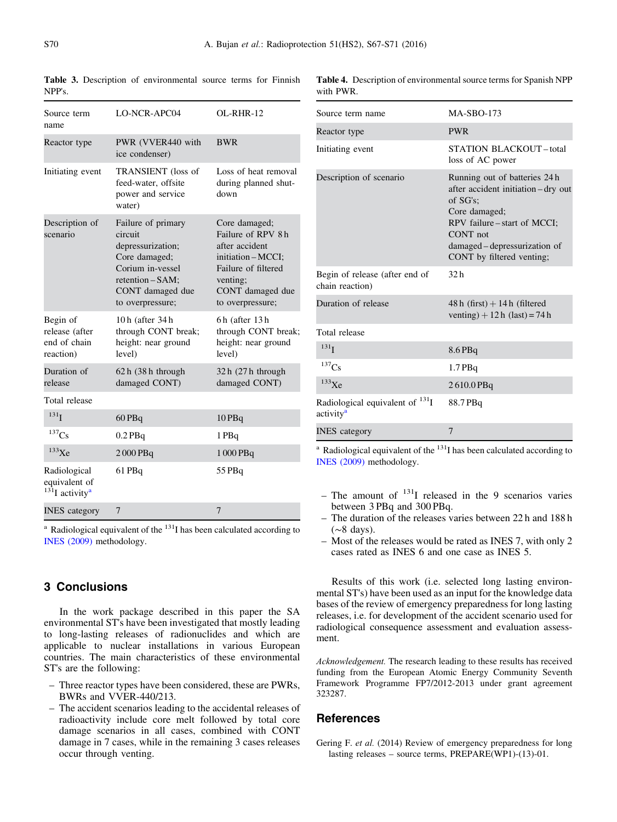| Source term<br>name                                                       | LO-NCR-APC04                                                                                                                                        | OL-RHR-12                                                                                                                                             |
|---------------------------------------------------------------------------|-----------------------------------------------------------------------------------------------------------------------------------------------------|-------------------------------------------------------------------------------------------------------------------------------------------------------|
| Reactor type                                                              | PWR (VVER440 with<br>ice condenser)                                                                                                                 | <b>BWR</b>                                                                                                                                            |
| Initiating event                                                          | TRANSIENT (loss of<br>feed-water, offsite<br>power and service<br>water)                                                                            | Loss of heat removal<br>during planned shut-<br>down                                                                                                  |
| Description of<br>scenario                                                | Failure of primary<br>circuit<br>depressurization;<br>Core damaged;<br>Corium in-vessel<br>retention - SAM;<br>CONT damaged due<br>to overpressure; | Core damaged;<br>Failure of RPV 8h<br>after accident<br>initiation - MCCI;<br>Failure of filtered<br>venting;<br>CONT damaged due<br>to overpressure; |
| Begin of<br>release (after<br>end of chain<br>reaction)                   | 10h (after 34h<br>through CONT break;<br>height: near ground<br>level)                                                                              | 6h (after 13h<br>through CONT break;<br>height: near ground<br>level)                                                                                 |
| Duration of<br>release                                                    | $62 h (38 h)$ through<br>damaged CONT)                                                                                                              | $32h(27h)$ through<br>damaged CONT)                                                                                                                   |
| Total release                                                             |                                                                                                                                                     |                                                                                                                                                       |
| 131 <sub>I</sub>                                                          | $60$ PBq                                                                                                                                            | 10 PBq                                                                                                                                                |
| 137Cs                                                                     | $0.2$ PBq                                                                                                                                           | 1 PBq                                                                                                                                                 |
| $133$ Xe                                                                  | 2000 PBq                                                                                                                                            | 1 000 PBq                                                                                                                                             |
| Radiological<br>equivalent of<br>$13\overline{1}$ I activity <sup>a</sup> | 61 PBq                                                                                                                                              | 55 PBq                                                                                                                                                |
| <b>INES</b> category                                                      | 7                                                                                                                                                   | 7                                                                                                                                                     |

<span id="page-3-0"></span>Table 3. Description of environmental source terms for Finnish NPP's.

Table 4. Description of environmental source terms for Spanish NPP with PWR.

| Source term name                                                     | <b>MA-SBO-173</b>                                                                                                                                                                                           |  |
|----------------------------------------------------------------------|-------------------------------------------------------------------------------------------------------------------------------------------------------------------------------------------------------------|--|
| Reactor type                                                         | <b>PWR</b>                                                                                                                                                                                                  |  |
| Initiating event                                                     | <b>STATION BLACKOUT-total</b><br>loss of AC power                                                                                                                                                           |  |
| Description of scenario                                              | Running out of batteries 24 h<br>after accident initiation – dry out<br>of SG's;<br>Core damaged;<br>RPV failure – start of MCCI;<br>CONT not<br>damaged – depressurization of<br>CONT by filtered venting; |  |
| Begin of release (after end of<br>chain reaction)                    | 32 <sub>h</sub>                                                                                                                                                                                             |  |
| Duration of release                                                  | $48h$ (first) + 14h (filtered<br>venting) + 12 h (last) = 74 h                                                                                                                                              |  |
| Total release                                                        |                                                                                                                                                                                                             |  |
| 131 <sub>I</sub>                                                     | $8.6$ PBq                                                                                                                                                                                                   |  |
| 137Cs                                                                | $1.7$ PBq                                                                                                                                                                                                   |  |
| $133$ Xe                                                             | 2610.0PBq                                                                                                                                                                                                   |  |
| Radiological equivalent of <sup>131</sup> I<br>activity <sup>a</sup> | 88.7 PBq                                                                                                                                                                                                    |  |
| <b>INES</b> category                                                 | 7                                                                                                                                                                                                           |  |

<sup>a</sup> Radiological equivalent of the  $131$  has been calculated according to [INES \(2009\)](#page-4-0) methodology.

- The amount of  $131$  released in the 9 scenarios varies between 3 PBq and 300 PBq.
- The duration of the releases varies between 22 h and 188 h (∼8 days).
- Most of the releases would be rated as INES 7, with only 2 cases rated as INES 6 and one case as INES 5.

Results of this work (i.e. selected long lasting environmental ST's) have been used as an input for the knowledge data bases of the review of emergency preparedness for long lasting releases, i.e. for development of the accident scenario used for radiological consequence assessment and evaluation assessment.

Acknowledgement. The research leading to these results has received funding from the European Atomic Energy Community Seventh Framework Programme FP7/2012-2013 under grant agreement 323287.

# **References**

Gering F. et al. (2014) Review of emergency preparedness for long lasting releases – source terms, PREPARE(WP1)-(13)-01.

# 3 Conclusions

[INES \(2009\)](#page-4-0) methodology.

In the work package described in this paper the SA environmental ST's have been investigated that mostly leading to long-lasting releases of radionuclides and which are applicable to nuclear installations in various European countries. The main characteristics of these environmental ST's are the following:

 $a$  Radiological equivalent of the  $131$  has been calculated according to

- Three reactor types have been considered, these are PWRs, BWRs and VVER-440/213.
- The accident scenarios leading to the accidental releases of radioactivity include core melt followed by total core damage scenarios in all cases, combined with CONT damage in 7 cases, while in the remaining 3 cases releases occur through venting.